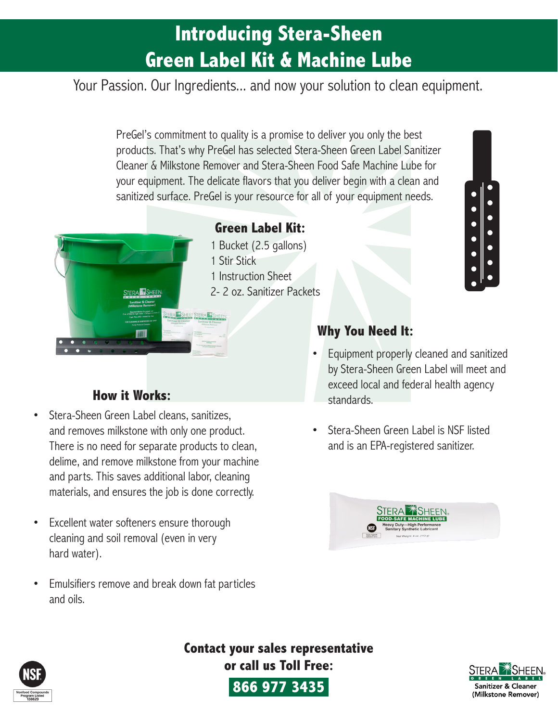## **Introducing Stera-Sheen Green Label Kit & Machine Lube**

Your Passion. Our Ingredients... and now your solution to clean equipment.

PreGel's commitment to quality is a promise to deliver you only the best products. That's why PreGel has selected Stera-Sheen Green Label Sanitizer Cleaner & Milkstone Remover and Stera-Sheen Food Safe Machine Lube for your equipment. The delicate flavors that you deliver begin with a clean and sanitized surface. PreGel is your resource for all of your equipment needs.



### **Green Label Kit:**

1 Bucket (2.5 gallons) 1 Stir Stick 1 Instruction Sheet 2- 2 oz. Sanitizer Packets

### **How it Works:**

- Stera-Sheen Green Label cleans, sanitizes, and removes milkstone with only one product. There is no need for separate products to clean, delime, and remove milkstone from your machine and parts. This saves additional labor, cleaning materials, and ensures the job is done correctly.
- Excellent water softeners ensure thorough cleaning and soil removal (even in very hard water).
- Emulsifiers remove and break down fat particles and oils.

### **Why You Need It:**

• Equipment properly cleaned and sanitized by Stera-Sheen Green Label will meet and exceed local and federal health agency standards.

 $\bullet$ 

• Stera-Sheen Green Label is NSF listed and is an EPA-registered sanitizer.





**Contact your sales representative or call us Toll Free:**